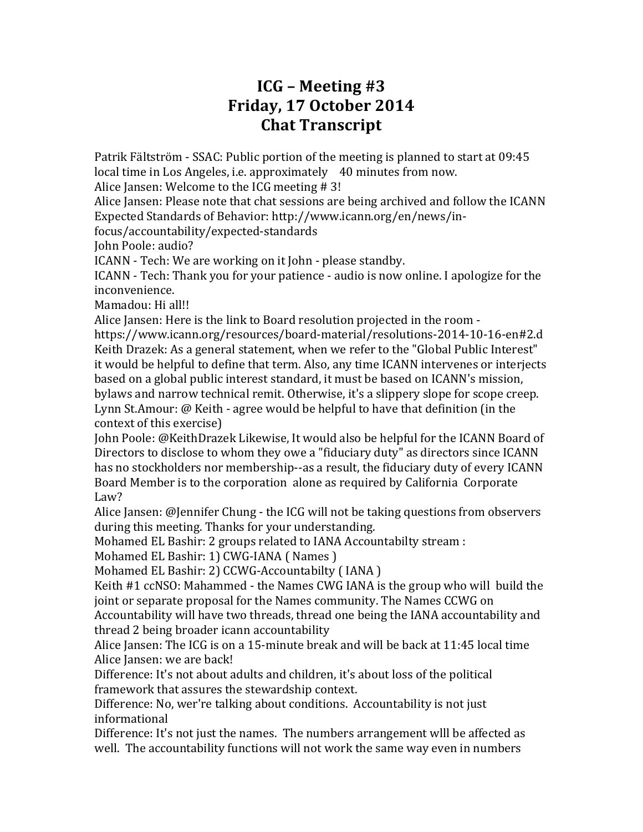## **ICG – Meeting #3 Friday, 17 October 2014 Chat Transcript**

Patrik Fältström - SSAC: Public portion of the meeting is planned to start at 09:45 local time in Los Angeles, i.e. approximately 40 minutes from now.

Alice Jansen: Welcome to the ICG meeting  $# 3!$ 

Alice Jansen: Please note that chat sessions are being archived and follow the ICANN Expected Standards of Behavior: http://www.icann.org/en/news/in-

focus/accountability/expected-standards

John Poole: audio?

ICANN - Tech: We are working on it John - please standby.

ICANN - Tech: Thank you for your patience - audio is now online. I apologize for the inconvenience.

Mamadou: Hi all!!

Alice Jansen: Here is the link to Board resolution projected in the room -

https://www.icann.org/resources/board-material/resolutions-2014-10-16-en#2.d Keith Drazek: As a general statement, when we refer to the "Global Public Interest" it would be helpful to define that term. Also, any time ICANN intervenes or interjects based on a global public interest standard, it must be based on ICANN's mission, bylaws and narrow technical remit. Otherwise, it's a slippery slope for scope creep. Lynn St.Amour:  $\omega$  Keith - agree would be helpful to have that definition (in the context of this exercise)

John Poole: @KeithDrazek Likewise, It would also be helpful for the ICANN Board of Directors to disclose to whom they owe a "fiduciary duty" as directors since ICANN has no stockholders nor membership--as a result, the fiduciary duty of every ICANN Board Member is to the corporation alone as required by California Corporate Law?

Alice Jansen: @Jennifer Chung - the ICG will not be taking questions from observers during this meeting. Thanks for your understanding.

Mohamed EL Bashir: 2 groups related to IANA Accountabilty stream :

Mohamed EL Bashir: 1) CWG-IANA ( Names )

Mohamed EL Bashir: 2) CCWG-Accountabilty (IANA)

Keith  $#1$  ccNSO: Mahammed - the Names CWG IANA is the group who will build the joint or separate proposal for the Names community. The Names CCWG on Accountability will have two threads, thread one being the IANA accountability and

thread 2 being broader icann accountability

Alice Jansen: The ICG is on a 15-minute break and will be back at 11:45 local time Alice Jansen: we are back!

Difference: It's not about adults and children, it's about loss of the political framework that assures the stewardship context.

Difference: No, wer're talking about conditions. Accountability is not just informational

Difference: It's not just the names. The numbers arrangement wlll be affected as well. The accountability functions will not work the same way even in numbers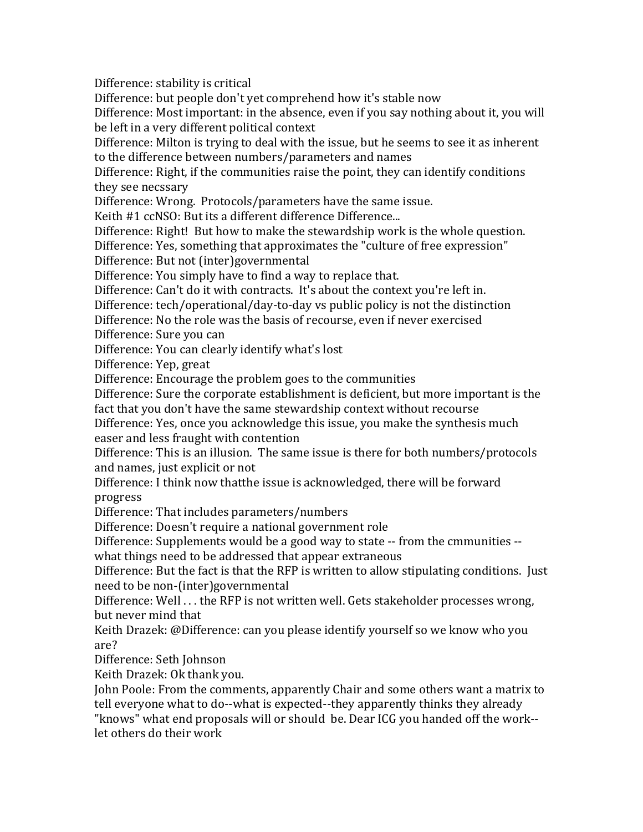Difference: stability is critical

Difference: but people don't yet comprehend how it's stable now

Difference: Most important: in the absence, even if you say nothing about it, you will be left in a very different political context

Difference: Milton is trying to deal with the issue, but he seems to see it as inherent to the difference between numbers/parameters and names

Difference: Right, if the communities raise the point, they can identify conditions they see necssary

Difference: Wrong. Protocols/parameters have the same issue.

Keith #1 ccNSO: But its a different difference Difference...

Difference: Right! But how to make the stewardship work is the whole question.

Difference: Yes, something that approximates the "culture of free expression"

Difference: But not (inter)governmental

Difference: You simply have to find a way to replace that.

Difference: Can't do it with contracts. It's about the context vou're left in.

Difference: tech/operational/day-to-day vs public policy is not the distinction

Difference: No the role was the basis of recourse, even if never exercised

Difference: Sure you can

Difference: You can clearly identify what's lost

Difference: Yep, great

Difference: Encourage the problem goes to the communities

Difference: Sure the corporate establishment is deficient, but more important is the fact that you don't have the same stewardship context without recourse

Difference: Yes, once you acknowledge this issue, you make the synthesis much easer and less fraught with contention

Difference: This is an illusion. The same issue is there for both numbers/protocols and names, just explicit or not

Difference: I think now thatthe issue is acknowledged, there will be forward progress

Difference: That includes parameters/numbers

Difference: Doesn't require a national government role

Difference: Supplements would be a good way to state -- from the cmmunities --

what things need to be addressed that appear extraneous

Difference: But the fact is that the RFP is written to allow stipulating conditions. Just need to be non-(inter)governmental

Difference: Well . . . the RFP is not written well. Gets stakeholder processes wrong, but never mind that

Keith Drazek: @Difference: can you please identify yourself so we know who you are?

Difference: Seth Johnson

Keith Drazek: Ok thank you.

John Poole: From the comments, apparently Chair and some others want a matrix to tell everyone what to do--what is expected--they apparently thinks they already

"knows" what end proposals will or should be. Dear ICG you handed off the work-let others do their work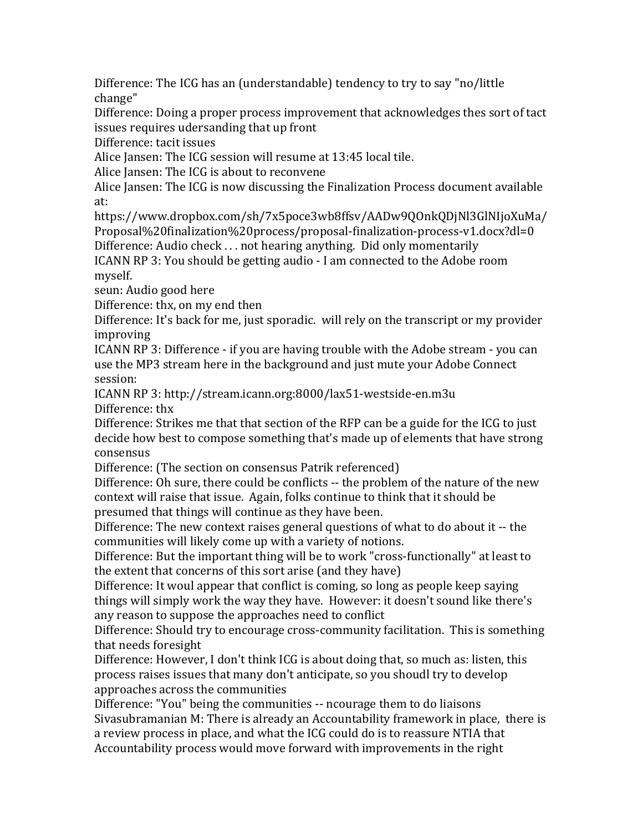Difference: The ICG has an (understandable) tendency to try to say "no/little change"

Difference: Doing a proper process improvement that acknowledges thes sort of tact issues requires udersanding that up front

Difference: tacit issues

Alice Jansen: The ICG session will resume at  $13:45$  local tile.

Alice Jansen: The ICG is about to reconvene

Alice Jansen: The ICG is now discussing the Finalization Process document available at: 

https://www.dropbox.com/sh/7x5poce3wb8ffsv/AADw9QOnkQDjNl3GlNIjoXuMa/ Proposal%20finalization%20process/proposal-finalization-process-v1.docx?dl=0 Difference: Audio check  $\dots$  not hearing anything. Did only momentarily

ICANN RP 3: You should be getting audio - I am connected to the Adobe room myself.

seun: Audio good here

Difference: thx, on my end then

Difference: It's back for me, just sporadic. will rely on the transcript or my provider improving

ICANN RP 3: Difference - if you are having trouble with the Adobe stream - you can use the MP3 stream here in the background and just mute your Adobe Connect session:

ICANN RP 3: http://stream.icann.org:8000/lax51-westside-en.m3u Difference: thx

Difference: Strikes me that that section of the RFP can be a guide for the ICG to just decide how best to compose something that's made up of elements that have strong consensus

Difference: (The section on consensus Patrik referenced)

Difference: Oh sure, there could be conflicts -- the problem of the nature of the new context will raise that issue. Again, folks continue to think that it should be presumed that things will continue as they have been.

Difference: The new context raises general questions of what to do about it -- the communities will likely come up with a variety of notions.

Difference: But the important thing will be to work "cross-functionally" at least to the extent that concerns of this sort arise (and they have)

Difference: It woul appear that conflict is coming, so long as people keep saying things will simply work the way they have. However: it doesn't sound like there's any reason to suppose the approaches need to conflict

Difference: Should try to encourage cross-community facilitation. This is something that needs foresight

Difference: However, I don't think ICG is about doing that, so much as: listen, this process raises issues that many don't anticipate, so you shoudl try to develop approaches across the communities

Difference: "You" being the communities -- ncourage them to do liaisons Sivasubramanian M: There is already an Accountability framework in place, there is a review process in place, and what the ICG could do is to reassure NTIA that Accountability process would move forward with improvements in the right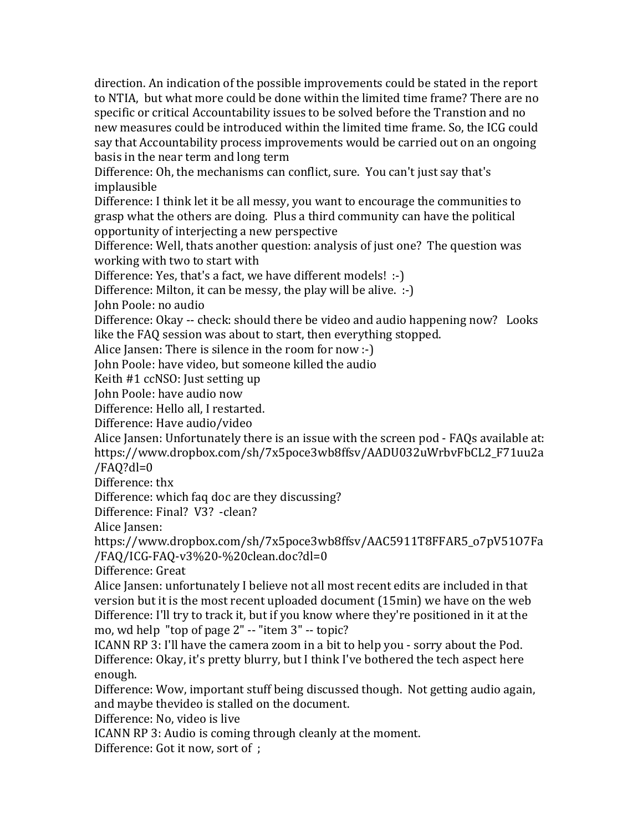direction. An indication of the possible improvements could be stated in the report to NTIA, but what more could be done within the limited time frame? There are no specific or critical Accountability issues to be solved before the Transtion and no new measures could be introduced within the limited time frame. So, the ICG could say that Accountability process improvements would be carried out on an ongoing basis in the near term and long term

Difference: Oh, the mechanisms can conflict, sure. You can't just say that's implausible

Difference: I think let it be all messy, you want to encourage the communities to grasp what the others are doing. Plus a third community can have the political opportunity of interjecting a new perspective

Difference: Well, thats another question: analysis of just one? The question was working with two to start with

Difference: Yes, that's a fact, we have different models!  $\cdot$ -)

Difference: Milton, it can be messy, the play will be alive.  $:$   $\cdot$ )

John Poole: no audio

Difference: Okay -- check: should there be video and audio happening now? Looks like the FAQ session was about to start, then everything stopped.

Alice Jansen: There is silence in the room for now  $\cdot$ -)

John Poole: have video, but someone killed the audio

Keith #1 ccNSO: Just setting up

John Poole: have audio now

Difference: Hello all, I restarted.

Difference: Have audio/video

Alice Jansen: Unfortunately there is an issue with the screen pod - FAOs available at: https://www.dropbox.com/sh/7x5poce3wb8ffsv/AADU032uWrbvFbCL2\_F71uu2a /FAQ?dl=0 

Difference: thx

Difference: which faq doc are they discussing?

Difference: Final? V3? -clean?

Alice Iansen:

https://www.dropbox.com/sh/7x5poce3wb8ffsv/AAC5911T8FFAR5\_o7pV51O7Fa /FAQ/ICG-FAQ-v3%20-%20clean.doc?dl=0

Difference: Great

Alice Jansen: unfortunately I believe not all most recent edits are included in that version but it is the most recent uploaded document  $(15min)$  we have on the web Difference: I'll try to track it, but if you know where they're positioned in it at the mo, wd help "top of page  $2" -$  "item  $3" -$  topic?

ICANN RP 3: I'll have the camera zoom in a bit to help you - sorry about the Pod. Difference: Okay, it's pretty blurry, but I think I've bothered the tech aspect here enough.

Difference: Wow, important stuff being discussed though. Not getting audio again, and maybe thevideo is stalled on the document.

Difference: No. video is live

ICANN RP 3: Audio is coming through cleanly at the moment.

Difference: Got it now, sort of ;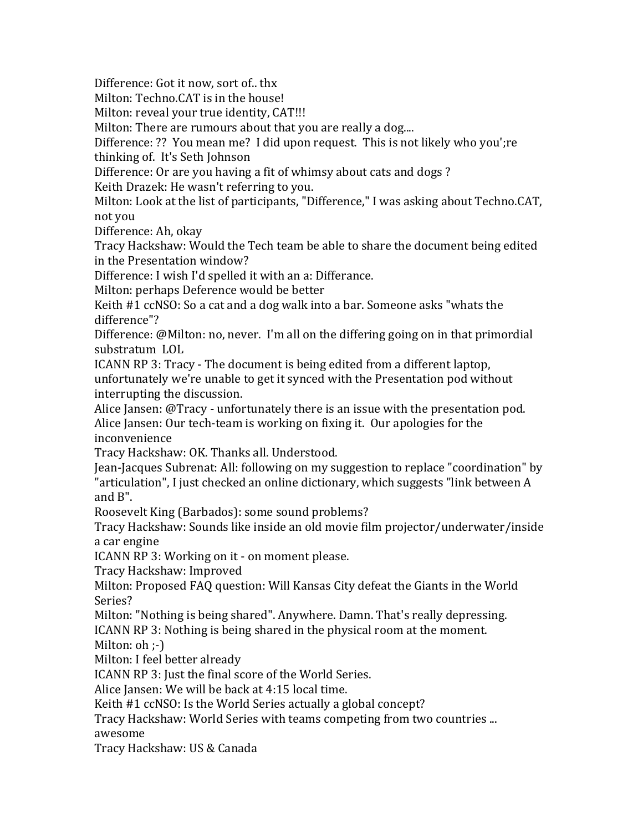Difference: Got it now, sort of., thx

Milton: Techno.CAT is in the house!

Milton: reveal your true identity, CAT!!!

Milton: There are rumours about that you are really a dog....

Difference: ?? You mean me? I did upon request. This is not likely who you';re

thinking of. It's Seth Johnson

Difference: Or are you having a fit of whimsy about cats and dogs?

Keith Drazek: He wasn't referring to you.

Milton: Look at the list of participants, "Difference," I was asking about Techno.CAT, not vou

Difference: Ah, okay

Tracy Hackshaw: Would the Tech team be able to share the document being edited in the Presentation window?

Difference: I wish I'd spelled it with an a: Differance.

Milton: perhaps Deference would be better

Keith  $#1$  ccNSO: So a cat and a dog walk into a bar. Someone asks "whats the difference"?

Difference: @Milton: no, never. I'm all on the differing going on in that primordial substratum LOL

ICANN RP 3: Tracy - The document is being edited from a different laptop, unfortunately we're unable to get it synced with the Presentation pod without interrupting the discussion.

Alice Jansen:  $\mathcal{Q}$ Tracy - unfortunately there is an issue with the presentation pod. Alice Jansen: Our tech-team is working on fixing it. Our apologies for the inconvenience

Tracy Hackshaw: OK. Thanks all. Understood.

Jean-Jacques Subrenat: All: following on my suggestion to replace "coordination" by "articulation", I just checked an online dictionary, which suggests "link between A and  $B$ ".

Roosevelt King (Barbados): some sound problems?

Tracy Hackshaw: Sounds like inside an old movie film projector/underwater/inside a car engine

ICANN RP 3: Working on it - on moment please.

Tracy Hackshaw: Improved

Milton: Proposed FAQ question: Will Kansas City defeat the Giants in the World Series?

Milton: "Nothing is being shared". Anywhere. Damn. That's really depressing. ICANN RP 3: Nothing is being shared in the physical room at the moment.

Milton:  $oh$  ;-)

Milton: I feel better already

ICANN RP 3: Just the final score of the World Series.

Alice Jansen: We will be back at 4:15 local time.

Keith #1 ccNSO: Is the World Series actually a global concept?

Tracy Hackshaw: World Series with teams competing from two countries ... awesome

Tracy Hackshaw: US & Canada